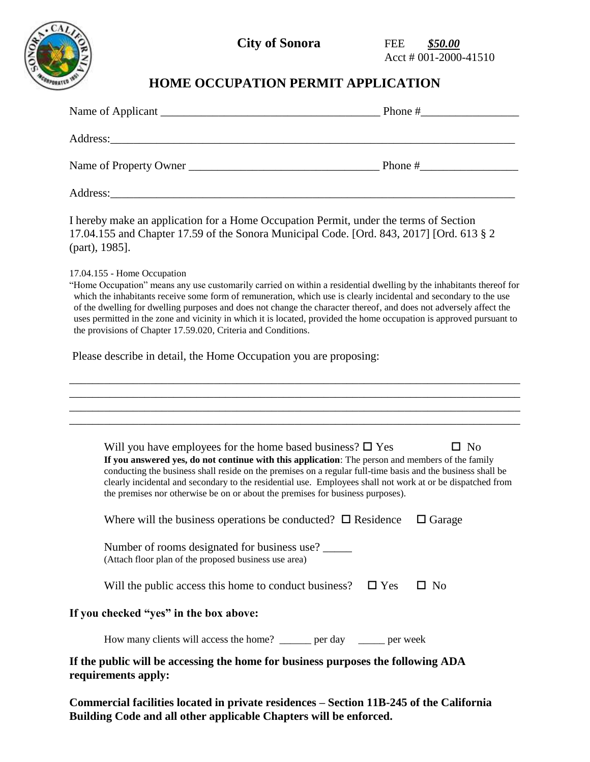

**City of Sonora FEE** \$50.00

Acct # 001-2000-41510

## **HOME OCCUPATION PERMIT APPLICATION**

|                        | Phone $#$ |
|------------------------|-----------|
|                        |           |
| Name of Property Owner | Phone $#$ |
| Address:               |           |

I hereby make an application for a Home Occupation Permit, under the terms of Section 17.04.155 and Chapter 17.59 of the Sonora Municipal Code. [Ord. 843, 2017] [Ord. 613 § 2 (part), 1985].

17.04.155 - Home Occupation

"Home Occupation" means any use customarily carried on within a residential dwelling by the inhabitants thereof for which the inhabitants receive some form of remuneration, which use is clearly incidental and secondary to the use of the dwelling for dwelling purposes and does not change the character thereof, and does not adversely affect the uses permitted in the zone and vicinity in which it is located, provided the home occupation is approved pursuant to the provisions of Chapter 17.59.020, Criteria and Conditions.

Please describe in detail, the Home Occupation you are proposing:

| Will you have employees for the home based business? $\square$ Yes<br>$\square$ No<br>If you answered yes, do not continue with this application: The person and members of the family<br>conducting the business shall reside on the premises on a regular full-time basis and the business shall be<br>clearly incidental and secondary to the residential use. Employees shall not work at or be dispatched from<br>the premises nor otherwise be on or about the premises for business purposes). |  |  |
|-------------------------------------------------------------------------------------------------------------------------------------------------------------------------------------------------------------------------------------------------------------------------------------------------------------------------------------------------------------------------------------------------------------------------------------------------------------------------------------------------------|--|--|
| Where will the business operations be conducted? $\Box$ Residence<br>$\Box$ Garage                                                                                                                                                                                                                                                                                                                                                                                                                    |  |  |
| Number of rooms designated for business use?<br>(Attach floor plan of the proposed business use area)                                                                                                                                                                                                                                                                                                                                                                                                 |  |  |
| Will the public access this home to conduct business? $\Box$ Yes<br>$\Box$ No                                                                                                                                                                                                                                                                                                                                                                                                                         |  |  |
| If you checked "yes" in the box above:                                                                                                                                                                                                                                                                                                                                                                                                                                                                |  |  |
| How many clients will access the home? ______ per day _____ per week                                                                                                                                                                                                                                                                                                                                                                                                                                  |  |  |
| If the public will be accessing the home for business purposes the following ADA<br>requirements apply:                                                                                                                                                                                                                                                                                                                                                                                               |  |  |

**Commercial facilities located in private residences – Section 11B-245 of the California Building Code and all other applicable Chapters will be enforced.**